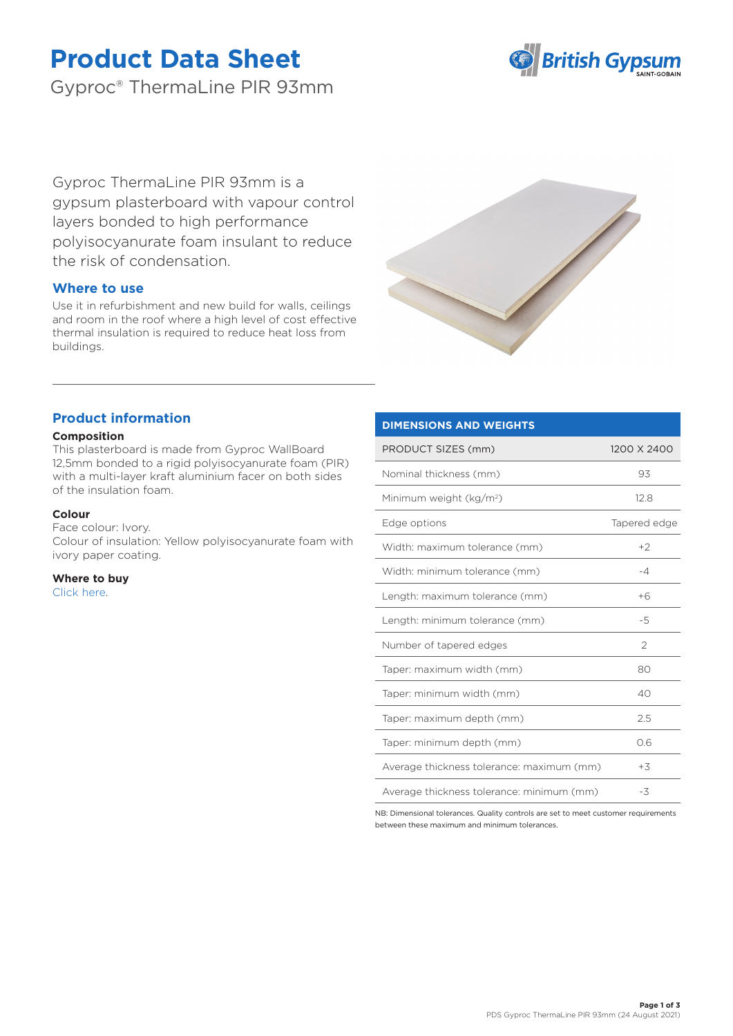# **Product Data Sheet**

Gyproc® ThermaLine PIR 93mm



Gyproc ThermaLine PIR 93mm is a gypsum plasterboard with vapour control layers bonded to high performance polyisocyanurate foam insulant to reduce the risk of condensation.

# **Where to use**

Use it in refurbishment and new build for walls, ceilings and room in the roof where a high level of cost effective thermal insulation is required to reduce heat loss from buildings.



# **Product information**

# **Composition**

This plasterboard is made from Gyproc WallBoard 12,5mm bonded to a rigid polyisocyanurate foam (PIR) with a multi-layer kraft aluminium facer on both sides of the insulation foam.

#### **Colour**

Face colour: Ivory. Colour of insulation: Yellow polyisocyanurate foam with ivory paper coating.

**Where to buy**

# [Click here.](https://www.british-gypsum.com/stockist-locator)

# PRODUCT SIZES (mm) 1200 X 2400

**DIMENSIONS AND WEIGHTS**

| Nominal thickness (mm)                    | 93            |
|-------------------------------------------|---------------|
| Minimum weight (kg/m <sup>2</sup> )       | 12.8          |
| Edge options                              | Tapered edge  |
| Width: maximum tolerance (mm)             | $+2$          |
| Width: minimum tolerance (mm)             | $-4$          |
| Length: maximum tolerance (mm)            | $+6$          |
| Length: minimum tolerance (mm)            | -5            |
| Number of tapered edges                   | $\mathcal{P}$ |
| Taper: maximum width (mm)                 | 80            |
| Taper: minimum width (mm)                 | 40            |
| Taper: maximum depth (mm)                 | 2.5           |
| Taper: minimum depth (mm)                 | 0.6           |
| Average thickness tolerance: maximum (mm) | $+3$          |
| Average thickness tolerance: minimum (mm) | -3            |

NB: Dimensional tolerances. Quality controls are set to meet customer requirements between these maximum and minimum tolerances.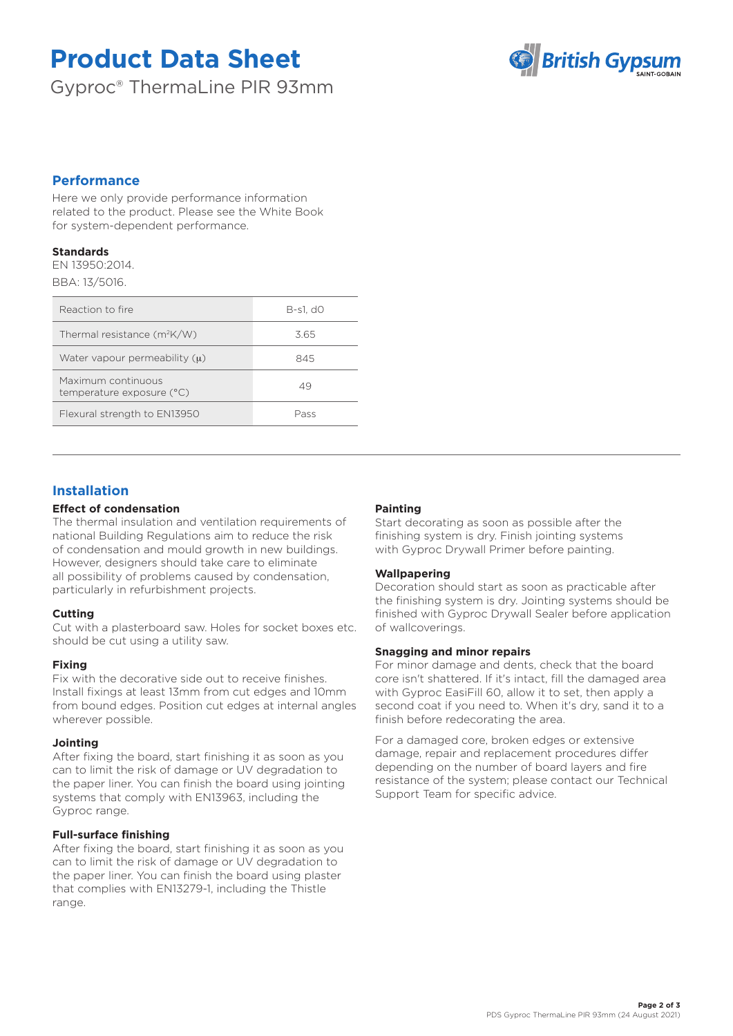# **Product Data Sheet**

Gyproc® ThermaLine PIR 93mm



# **Performance**

Here we only provide performance information related to the product. Please see the White Book for system-dependent performance.

#### **Standards**

EN 13950:2014. BBA: 13/5016.

| Reaction to fire                                | B-s1. d0 |
|-------------------------------------------------|----------|
| Thermal resistance $(m^2K/W)$                   | 3.65     |
| Water vapour permeability $(u)$                 | 845      |
| Maximum continuous<br>temperature exposure (°C) | 49       |
| Flexural strength to EN13950                    | Pass     |

# **Installation**

# **Effect of condensation**

The thermal insulation and ventilation requirements of national Building Regulations aim to reduce the risk of condensation and mould growth in new buildings. However, designers should take care to eliminate all possibility of problems caused by condensation, particularly in refurbishment projects.

# **Cutting**

Cut with a plasterboard saw. Holes for socket boxes etc. should be cut using a utility saw.

# **Fixing**

Fix with the decorative side out to receive finishes. Install fixings at least 13mm from cut edges and 10mm from bound edges. Position cut edges at internal angles wherever possible.

# **Jointing**

After fixing the board, start finishing it as soon as you can to limit the risk of damage or UV degradation to the paper liner. You can finish the board using jointing systems that comply with EN13963, including the Gyproc range.

# **Full-surface finishing**

After fixing the board, start finishing it as soon as you can to limit the risk of damage or UV degradation to the paper liner. You can finish the board using plaster that complies with EN13279-1, including the Thistle range.

# **Painting**

Start decorating as soon as possible after the finishing system is dry. Finish jointing systems with Gyproc Drywall Primer before painting.

# **Wallpapering**

Decoration should start as soon as practicable after the finishing system is dry. Jointing systems should be finished with Gyproc Drywall Sealer before application of wallcoverings.

# **Snagging and minor repairs**

For minor damage and dents, check that the board core isn't shattered. If it's intact, fill the damaged area with Gyproc EasiFill 60, allow it to set, then apply a second coat if you need to. When it's dry, sand it to a finish before redecorating the area.

For a damaged core, broken edges or extensive damage, repair and replacement procedures differ depending on the number of board layers and fire resistance of the system; please contact our Technical Support Team for specific advice.